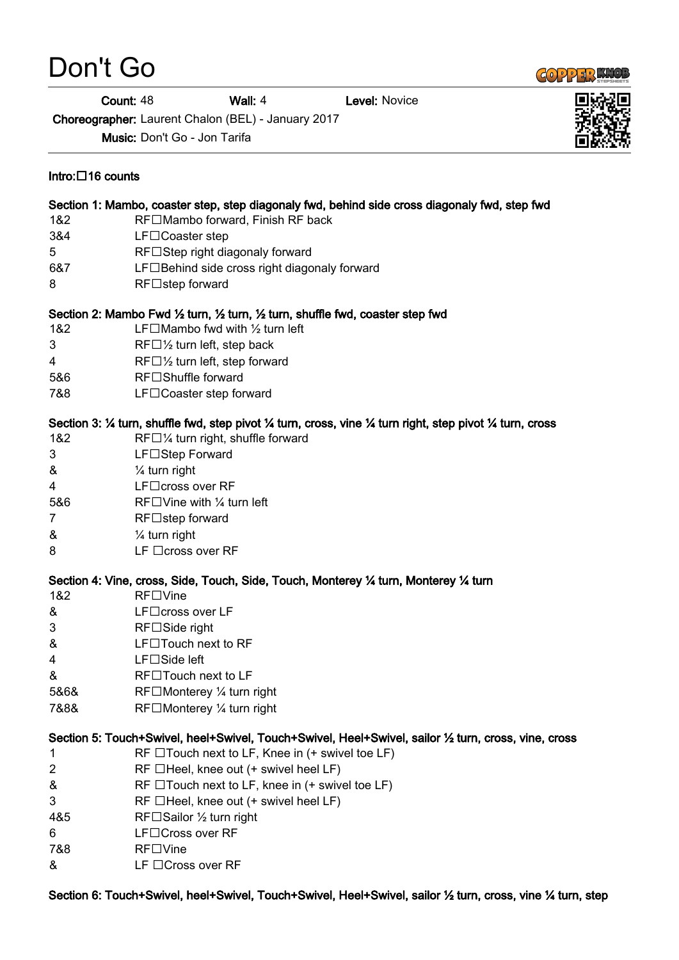## Don't Go

Intro: $\Box$ 16 counts

**Count: 48 Wall: 4 Level: Novice** 

Choreographer: Laurent Chalon (BEL) - January 2017

Music: Don't Go - Jon Tarifa

## Section 1: Mambo, coaster step, step diagonaly fwd, behind side cross diagonaly fwd, step fwd 1&2 RF□Mambo forward, Finish RF back 3&4 LF□Coaster step 5 RF□Step right diagonaly forward  $687$  LF $\Box$  Behind side cross right diagonaly forward 8 RF□step forward Section 2: Mambo Fwd ½ turn, ½ turn, ½ turn, shuffle fwd, coaster step fwd 1&2 **LF** $\Box$ Mambo fwd with  $\frac{1}{2}$  turn left  $3 \qquad \qquad \text{RF} \Box \frac{1}{2}$  turn left, step back 4 RF $\Box$   $\frac{1}{2}$  turn left, step forward 5&6 RF□Shuffle forward 7&8 **LF**□ Coaster step forward Section 3: ¼ turn, shuffle fwd, step pivot ¼ turn, cross, vine ¼ turn right, step pivot ¼ turn, cross 1&2 RF $\Box$ % turn right, shuffle forward 3 LF□Step Forward & ¼ turn right 4 LF□cross over RF 5&6 RF $\square$  Vine with  $\frac{1}{4}$  turn left  $7$  RF $\Box$ step forward & ¼ turn right  $8$  LF  $\Box$ cross over RF Section 4: Vine, cross, Side, Touch, Side, Touch, Monterey ¼ turn, Monterey ¼ turn 1&2 RF□Vine  $\&$  LF $\Box$ cross over LF  $3$  RF $\Box$  Side right & LF□Touch next to RF  $4$  LF $\Box$ Side left  $\&$  RF $\square$ Touch next to LF 5&6& RF□Monterey ¼ turn right 7&8& RF□Monterey ¼ turn right Section 5: Touch+Swivel, heel+Swivel, Touch+Swivel, Heel+Swivel, sailor ½ turn, cross, vine, cross 1 RF  $\Box$  Touch next to LF, Knee in  $(+)$  swivel toe LF)  $2$  RF  $\Box$  Heel, knee out (+ swivel heel LF)  $\&$  RF  $\Box$  Touch next to LF, knee in (+ swivel toe LF)  $3$  RF  $\Box$  Heel, knee out (+ swivel heel LF) 4&5 RF□Sailor ½ turn right 6 LF□Cross over RF 7&8 RF□Vine

 $\&$  LF  $\Box$  Cross over RF

Section 6: Touch+Swivel, heel+Swivel, Touch+Swivel, Heel+Swivel, sailor ½ turn, cross, vine ¼ turn, step